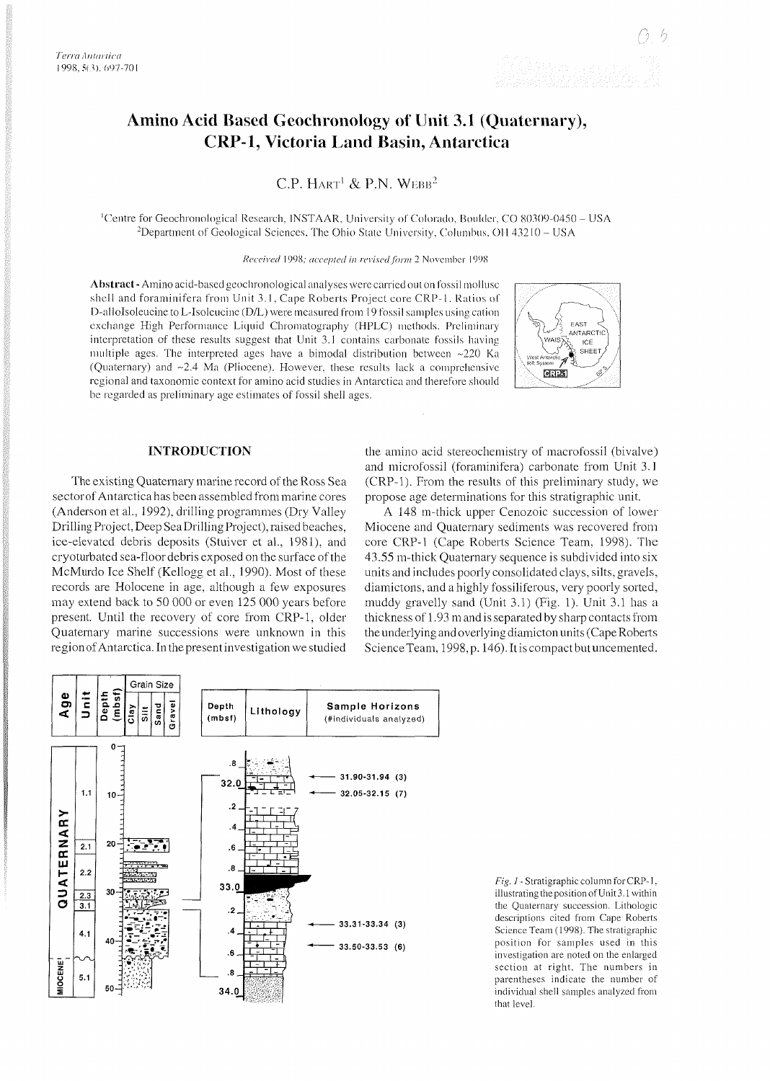# **Amino Acid Based Geochronology of Unit 3.1 (Quaternary), CRP-1, Victoria Land Basin, Antarctica**

C.P. HART<sup>1</sup> & P.N. WEBB<sup>2</sup>

<sup>1</sup>Centre for Geochronological Research, INSTAAR, University of Colorado, Boulder, CO 80309-0450 - USA <sup>2</sup>Department of Geological Sciences, The Ohio State University, Columbus, OH 43210 - USA

Received 1998; accepted in revised form 2 November 1998

Abstract - Amino acid-based geochronological analyses were carried out on fossil mollusc shell and foraminifera from Unit 3.1, Cape Roberts Project core CRP-1. Ratios of D-alloIsoleucine to L-Isoleucine (D/L) were measured from 19 fossil samples using cation exchange High Performance Liquid Chromatography (HPLC) methods. Preliminary interpretation of these results suggest that Unit 3.1 contains carbonate fossils having multiple ages. The interpreted ages have a bimodal distribution between  $\approx$ 220 Ka (Quaternary) and  $\sim$ 2.4 Ma (Pliocene). However, these results lack a comprehensive regional and taxonomic context for amino acid studies in Antarctica and therefore should be regarded as preliminary age estimates of fossil shell ages.



## **INTRODUCTION**

The existing Quaternary marine record of the Ross Sea sector of Antarctica has been assembled from marine cores (Anderson et al., 1992), drilling programmes (Dry Valley Drilling Project, Deep SeaDrilling Project), raised beaches, ice-elevated debris deposits (Stuiver et al., 1981), and cryoturbated sea-floor debris exposed on the surface of the McMurdo Ice Shelf (Kellogg et al., 1990). Most of these records are Holocene in age, although a few exposures may extend back to 50 000 or even 125 000 years before present. Until the recovery of core from CRP-1, older Quaternary marine successions were unknown in this region of Antarctica. In the present investigation we studied

the amino acid stereochemistry of macrofossil (bivalve) and microfossil (foraminifera) carbonate from Unit 3.1 (CRP-l). From the results of this preliminary study, we propose age determinations for this stratigraphic unit.

A 148 m-thick upper Cenozoic succession of lower Miocene and Quaternary sediments was recovered from core CRP-1 (Cape Roberts Science Team, 1998). The 43.55 m-thick Quaternary sequence is subdivided into six units and includes poorly consolidated clays, silts, gravels, diamictons, and a highly fossiliferous, very poorly sorted, muddy gravelly sand (Unit 3.1) (Fig. 1). Unit 3.1 has a thickness of 1.93 m and is separated by sharp contacts from the underlying and overlying diamicton units (Cape Roberts Science Team, 1998, p. 146). It is compact but uncemented.



*Fig. 1* - Stratigraphic column for CRP-1, illustrating the position of Unit 3.1 within the Quaternary succession. Lithologic descriptions cited from Cape Roberts Science Team (1998). The stratigraphic position for samples used in this investigation are noted on the enlarged section at right. The numbers in parentheses indicate the number of individual shell samples analyzed from that level.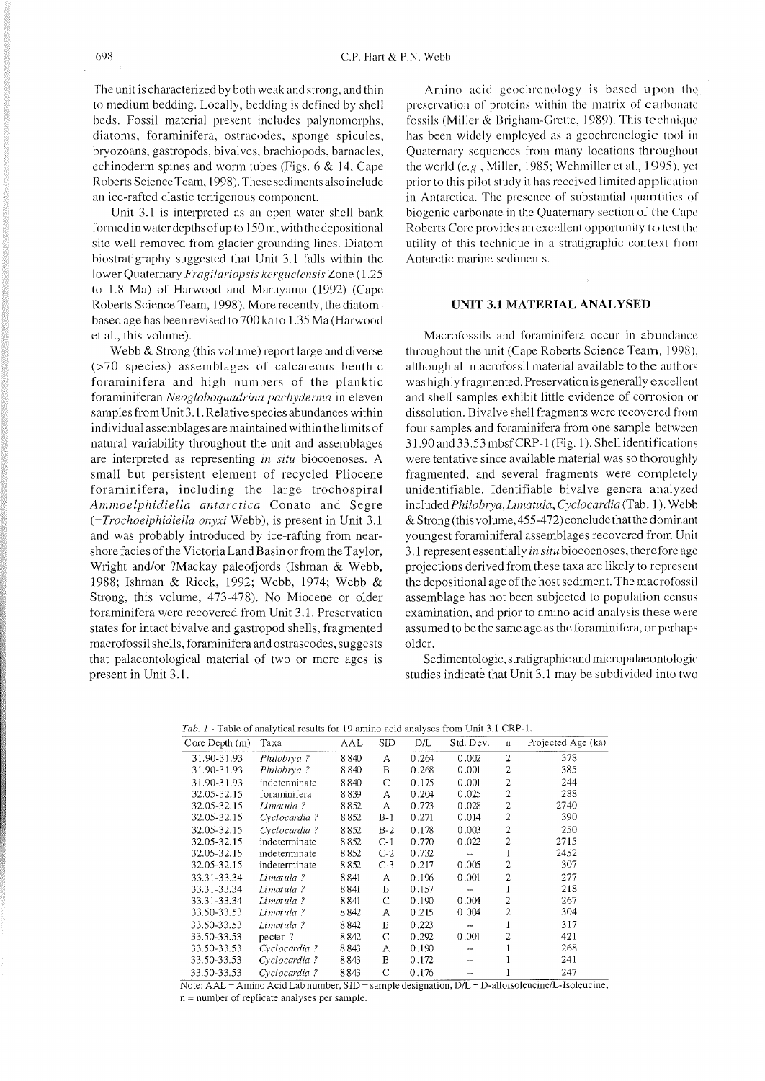The unit is characterized by both weak and strong, and thin to medium bedding. Locally, bedding is defined by shell beds. Fossil material present includes palynomorphs, diatoms, foraminifera, ostracodes, sponge spicules, bryozoans, gastropods, bivalves, brachiopods, barnacles, cchinoderm spines and worm tubes (Figs. 6 & 14, Cape Roberts ScienceTeam, 1998). These sediments also include an ice-rafted clastic terrigenous component.

Unit 3.1 is interpreted as an open water shell bank formed in water depths of up to  $150$  m, with the depositional site well removed from glacier grounding lines. Diatom biostratigraphy suggested that Unit 3.1 falls within the lower Quaternary *Fragilariopsis kerguelensis* Zone (1.25 to 1.8 Ma) of Harwood and Maruyama (1992) (Cape Roberts Science Team, 1998). More recently, the diatombased age has beenrevised to 700 ka to 1.35 Ma (Harwood et al., this volume).

Webb & Strong (this volume) report large and diverse (>70 species) assemblages of calcareous benthic foraminifera and high numbers of the planktic foraminiferan *Neogloboquadrina pachyderma* in eleven samples from Unit 3.1. Relative species abundances within individual assemblages are maintained within the limits of natural variability throughout the unit and assemblages are interpreted as representing *in* **situ** biocoenoses. *A*  small but persistent element of recycled Pliocene foraminifera, including the large trochospiral *Ammoelphidiella antarctica* Conato and Segre *(=Trochoelphidiella onyxi* Webb), is present in Unit 3.1 and was probably introduced by ice-rafting from nearshore facies of the Victoria Land Basin or from the Taylor, Wright and/or ?Mackay paleofjords (Ishman & Webb, 1988; Ishman & Rieck, 1992; Webb, 1974; Webb & Strong, this volume, 473-478). No Miocene or older foraminifera were recovered from Unit 3.1. Preservation states for intact bivalve and gastropod shells, fragmented macrofossil shells, foraminifera and ostrascodes, suggests that palaeontological material of two or more ages is present in Unit 3.1.

Amino acid geochronology is based upon the preservation of proteins within the matrix of carbonate fossils (Miller & Brigham-Grette, 1989). This technique has been widely employed as a geochronologic tool in Quaternary sequences from many locations throughout the world  $(e.g.,$  Miller, 1985; Wehmiller et al., 1995), yet prior to this pilot study it has received limited application in Antarctica. The presence of substantial quantities of biogenic carbonate in the Quaternary section of the Cape Roberts Core provides an excellent opportunity to test the utility of this technique in a stratigraphic context from Antarctic marine sediments.

## **UNIT 3.1 MATERIAL ANALYSED**

Macrofossils and foraminifera occur in abundance throughout the unit (Cape Roberts Science Team. 1908). although all macrofossil material available to the authors was highly fragmented. Preservation is generally excellent and shell samples exhibit little evidence of corrosion or dissolution. Bivalve shell fragments were recovered from four samples and foraminifera from one sample between 3 1.90 and 33.53 mbsf CRP-1 (Fig. 1). Shell identifications were tentative since available material was so thoroughly fragmented, and several fragments were completely unidentifiable. Identifiable bivalve genera analyzed included *Philobfya, Limatula, Cyclocardia* (Tab. *l* ). Wehh &Strong (this volume, 455-472) conclude that the dominant youngest foraminiferal assemblages recovered from Unit 3.1 represent essentially *in situ* biocoenoses, therefore age projections derived from these taxa are likely to represent the depositional age of the host sediment. The macrofossil assemblage has not been subjected to population census examination, and prior to amino acid analysis these were assumed to be the same age as the foraminifera, or perhaps older.

Sedimentologic, stratigraphic and micropalaeontologic studies indicate that Unit 3.1 may be subdivided into two

| Core Depth (m) | Taxa          | AAL    | <b>SID</b> | DÆ    | Std. Dev. | n              | Projected Age (ka) |
|----------------|---------------|--------|------------|-------|-----------|----------------|--------------------|
| 31.90-31.93    | Philobrya?    | 8840   | А          | 0.264 | 0.002     | 2              | 378                |
| 31.90-31.93    | Philobrya?    | 8840   | в          | 0.268 | 0.001     | 2              | 385                |
| 31.90-31.93    | indeterminate | 8840   | C          | 0.175 | 0.001     | $\overline{c}$ | 244                |
| 32.05-32.15    | foraminifera  | 8839   | А          | 0.204 | 0.025     | $\overline{c}$ | 288                |
| 32.05-32.15    | Limatula?     | 8852   | А          | 0.773 | 0.028     | $\overline{c}$ | 2740               |
| 32.05-32.15    | Cyclocardia?  | 8852   | $B-1$      | 0.271 | 0.014     | 2              | 390                |
| 32.05-32.15    | Cyclocardia?  | 8852   | $B-2$      | 0.178 | 0.003     | 2              | 250                |
| 32.05-32.15    | indeterminate | 8852   | $C-1$      | 0.770 | 0.022     | $\overline{c}$ | 2715               |
| 32.05-32.15    | indeterminate | 8852   | $C-2$      | 0.732 |           | 1              | 2452               |
| 32.05-32.15    | indeterminate | 8852   | $C-3$      | 0.217 | 0.005     | 2              | 307                |
| 33.31-33.34    | Limatula ?    | 8841   | А          | 0.196 | 0.001     | $\overline{c}$ | 277                |
| 33.31-33.34    | Limatula?     | 8841   | B          | 0.157 |           |                | 218                |
| 33.31-33.34    | Limatula?     | 8 8 41 | C          | 0.190 | 0.004     | 2              | 267                |
| 33.50-33.53    | Limatula?     | 8842   | Α          | 0.215 | 0.004     | $\overline{c}$ | 304                |
| 33.50-33.53    | Limatula?     | 8842   | B          | 0.223 | --        |                | 317                |
| 33.50-33.53    | pecten?       | 8842   | C          | 0.292 | 0.001     | 2              | 421                |
| 33.50-33.53    | Cyclocardia?  | 8843   | А          | 0.190 |           |                | 268                |
| 33.50-33.53    | Cyclocardia?  | 8843   | B          | 0.172 |           |                | 241                |
| 33.50-33.53    | Cyclocardia?  | 8843   | C          | 0.176 | --        |                | 247                |

*Tab. 1* - Table of analytical results for 19 amino acid analyses from Unit 3.1 CRP-l.

Note: AAL = Amino Acid Lab number, SID = sample designation, D/L = **D-alloIsoleucine/L-Isoleucine.**  n = number of replicate analyses per sample.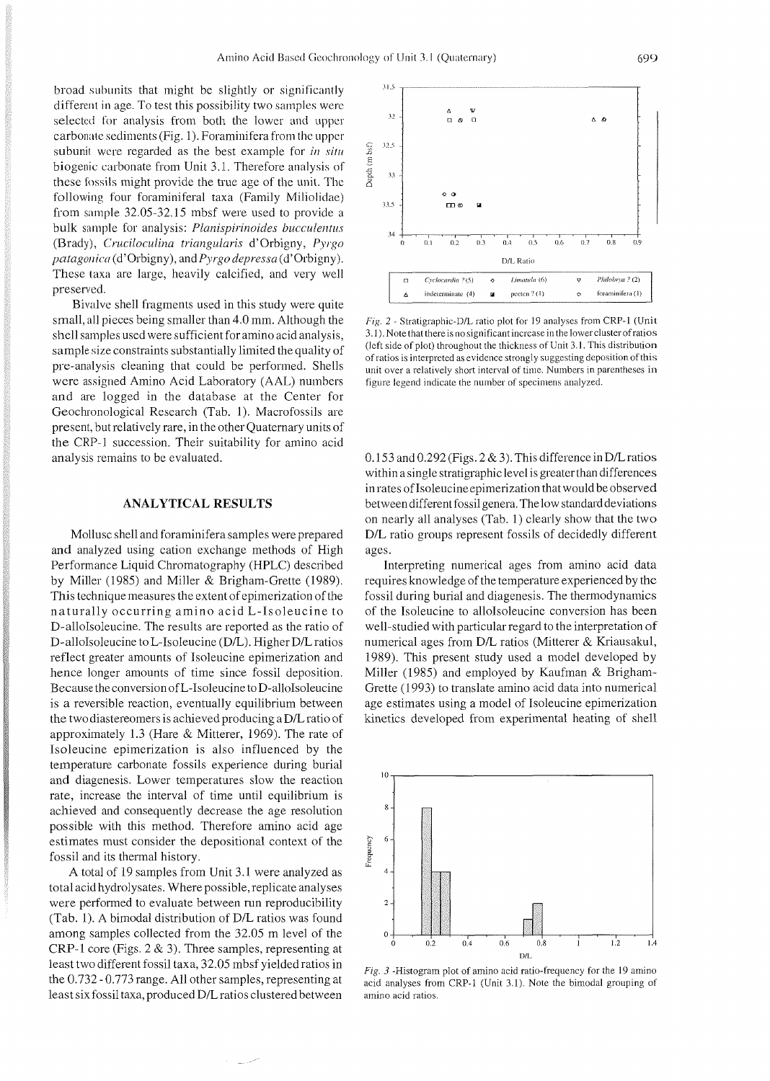broad subunits that might be slightly or significantly  $31.5$ different in age. To test this possibility two samples were selected for analysis from both the lower and upper  $\frac{32}{2}$ carbonate sediments (Fig. 1). Foraminifera from the upper<br>subunit were regarded as the best example for *in situ*<br>biogenic carbonate from Unit 3.1. Therefore analysis of<br>these fossils might provide the true age of the uni following four foraminiferal taxa (Family Miliolidae)  $\frac{335}{115}$ from sample 32.05-32.15 mbsf were used to provide a bulk sample for analysis: *Planispirinoides bucculentus* (Brady), *Cruciloculina triangularis* d'Orbigny, *Pyrgo* (b on orbis on os obtens orbis orbis orbis orbis orbis orbis orbis orbis orbis orbis orbis orbis orbis orbis orbis orbis orbis orbis orbis orbis orbis orbis orbis or *patagoiiicii* (d'orbigny), and *Pyrgo depressa* (d'orbigny). These taxa are large, heavily calcified, and very well preserved.

Bivalve shell fragments used in this study were quite small, all pieces being smaller than 4.0 mm. Although the shell samples used were sufficient for amino acid analysis, sample size constraints substantially limited the quality of pre-analysis cleaning that could be performed. Shells were assigned Amino Acid Laboratory (AAL) numbers and are logged in the database at the Center for Geochronological Research (Tab. 1). Macrofossils are present, but relatively rare, in the other Quaternary units of the CRP-1 succession. Their suitability for amino acid analysis remains to be evaluated.

#### **ANALYTICAL RESULTS**

Mollusc shell and foraminifera samples were prepared and analyzed using cation exchange methods of High Performance Liquid Chromatography (HPLC) described by Miller (1985) and Miller & Brigham-Grette (1989). This technique measures the extent of epimerization of the naturally occurring amino acid L-Isoleucine to D-alloIsoleucine. The results are reported as the ratio of D-alloIsoleucine to L-Isoleucine (D/L). Higher D/L ratios reflect greater amounts of Isoleucine epimerization and hence longer amounts of time since fossil deposition. Because the conversion of L-Isoleucine to D-alloIsoleucine is a reversible reaction, eventually equilibrium between the two diastereomers is achieved producing a D/L ratio of approximately 1.3 (Hare & Mitterer, 1969). The rate of Isoleucine epimerization is also influenced by the temperature carbonate fossils experience during burial and diagenesis. Lower temperatures slow the reaction rate, increase the interval of time until equilibrium is achieved and consequently decrease the age resolution possible with this method. Therefore amino acid age estimates must consider the depositional context of the fossil and its thermal history.

A total of 19 samples from Unit 3.1 were analyzed as total acid hydrolysates. Where possible, replicate analyses were performed to evaluate between run reproducibility (Tab. 1). A bimodal distribution of D/L ratios was found among samples collected from the 32.05 m level of the CRP-1 core (Figs.  $2 \& 3$ ). Three samples, representing at least two different fossil taxa, 32.05 mbsf yielded ratios in the 0.732 - 0.773 range. All other samples, representing at least six fossil taxa, produced D/L ratios clustered between



**Fig.** 2 - Stratigraphic-D/L ratio plot for 19 analyses from CRP-l (Unit 3.1). Note that there is no significant incrcase in the lower cluster of ratios (left side of plot) throughout the thickness of Unit 3.1. This distribution of ratios is interpreted as evidence strongly suggesting deposition of this unit over a relatively short interval of time. Numbers in parentheses in figure legend indicate the number of specimens analyzed.

 $0.153$  and  $0.292$  (Figs.  $2 \& 3$ ). This difference in D/L ratios within a single stratigraphic level is greater than differences in rates of Isoleucine epimerization that would be observed between different fossil genera. The low standard deviations on nearly all analyses (Tab. 1) clearly show that the two D/L ratio groups represent fossils of decidedly different ages.

Interpreting numerical ages from amino acid data requires knowledge of the temperature experienced by the fossil during burial and diagenesis. The thermodynamics of the Isoleucine to alloIsoleucine conversion has been well-studied with particular regard to the interpretation of numerical ages from  $D/L$  ratios (Mitterer & Kriausakul, 1989). This present study used a model developed by Miller (1985) and employed by Kaufman & Brigham-Grette (1993) to translate amino acid data into numerical age estimates using a model of Isoleucine epimerization kinetics developed from experimental heating of shell



Fig. 3 -Histogram plot of amino acid ratio-frequency for the 19 amino acid analyses from CRP-l (Unit 3.1). Note the bimodal grouping of amino acid ratios.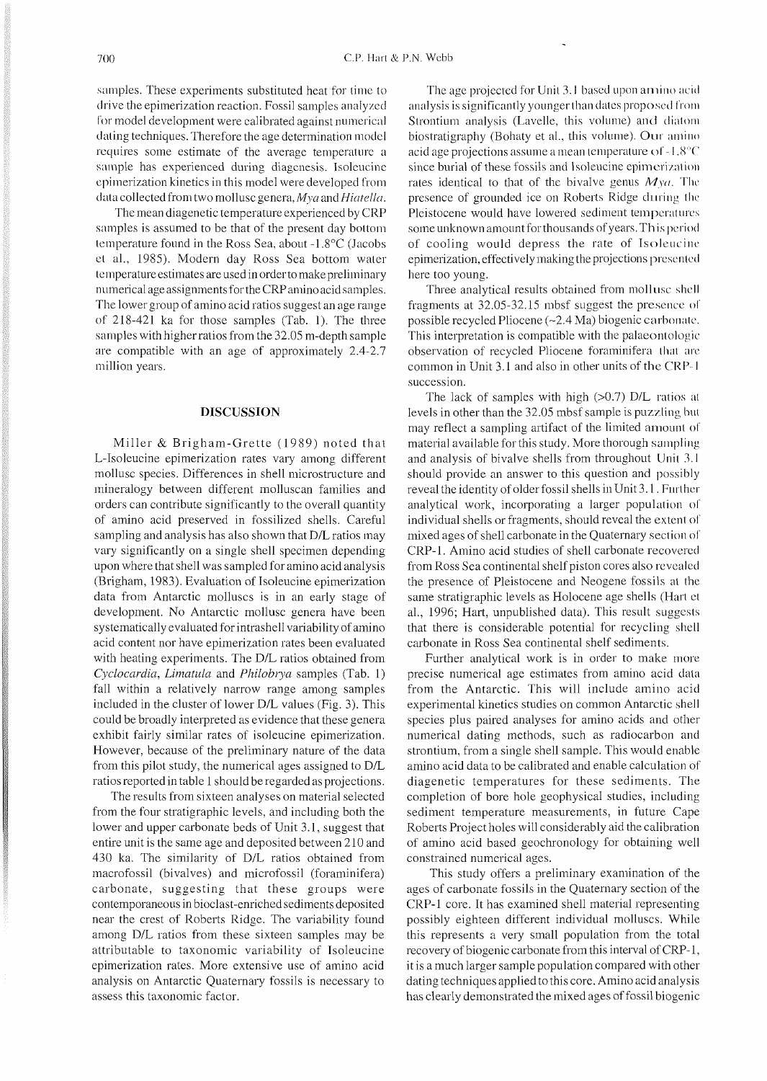samples. These experiments substituted heat for time to drive the epimerization reaction. Fossil samples analyzed for model development were calibrated against numerical dating techniques. Therefore the age determination model requires some estimate of the average temperature a sample has experienced during diagcnesis. Isoleucine cpimerization kinetics in this model were developed from data collected from two mollusc genera, Mya and *Hiatella*.

The mean diagenetic temperature experienced by CRP samples is assumed to be that of the present day bottom temperature found in the Ross Sea, about -1.8°C (Jacobs et al., 1985). Modern day Ross Sea bottom water temperatureestimates are used in orderto make preliminary numerical age assignments for the CRP amino acid samples. The lower group of amino acid ratios suggest an age range of 218-421 ka for those samples (Tab. 1). The three samples with higher ratios from the 32.05 m-depth sample are compatible with an age of approximately 2.4-2.7 million years.

#### **DISCUSSION**

Miller & Brigham-Grette (1989) noted that L-Isoleucine epimerization rates vary among different mollusc species. Differences in shell microstructure and mineralogy between different molluscan families and orders can contribute significantly to the overall quantity of amino acid preserved in fossilized shells. Careful sampling and analysis has also shown that D/L ratios may vary significantly on a single shell specimen depending upon where that shell was sampledfor amino acid analysis (Brigham, 1983). Evaluation of Isoleucine epimerization data from Antarctic molluscs is in an early stage of development. No Antarctic mollusc genera have been systematically evaluated for intrashell variability of amino acid content nor have epimerization rates been evaluated with heating experiments. The D/L ratios obtained from *Cyclocmdia, Limatula* and *Philobiya* samples (Tab. 1) fall within a relatively narrow range among samples included in the cluster of lower D/L values (Fig. 3). This could be broadly interpreted as evidence that these genera exhibit fairly similar rates of isoleucine epimerization. However, because of the preliminary nature of the data from this pilot study, the numerical ages assigned to D/L ratios reported in table 1 should be regarded as projections.

The results from sixteen analyses on material selected from the four stratigraphic levels, and including both the lower and upper carbonate beds of Unit 3.1, suggest that entire unit is the same age and deposited between 210 and 430 ka. The similarity of D/L ratios obtained from macrofossil (bivalves) and microfossil (foraminifera) carbonate, suggesting that these groups were contemporaneous in bioclast-enriched sediments deposited near the crest of Roberts Ridge. The variability found among D/L ratios from these sixteen samples may be attributable to taxonomic variability of Isoleucine epimerization rates. More extensive use of amino acid analysis on Antarctic Quaternary fossils is necessary to assess this taxonomic factor

The age projected for Unit 3.1 based upon amino acid analysis is significantly younger than dates proposed from Strontium analysis (Lavelle, this volume) and diatom biostratigraphy (Bohaty et al., this volume). Our amino acid age projections assume a mean temperature of  $-1.8^{\circ}$ C since burial of these fossils and Isoleucine epimerization rates identical to that of the bivalve genus  $M_{\text{V}a}$ . The presence of grounded ice on Roberts Ridge during the Pleistocene would have lowered sediment temperatures some unknown amount for thousands of years. This period of cooling would depress the rate of Isolcucinc epimerization, effectively making the projections presented here too young.

Three analytical results obtained from mollusc shell fragments at 32.05-32.15 mbsf suggest the presence of possible recycled Pliocene  $(\sim 2.4 \text{ Ma})$  biogenic carbonate. This interpretation is compatible with the palaeontologic observation of recycled Pliocene foraminifera that are common in Unit 3.1 and also in other units of the GRP- l succession.

The lack of samples with high  $(>0.7)$  D/L ratios at levels in other than the 32.05 mbsf sample is puzzling but may reflect a sampling artifact of the limited amount of material available for this study. More thorough sampling and analysis of bivalve shells from throughout Unit 3. l should provide an answer to this question and possibly reveal the identity of older fossil shells in Unit 3.1. Further analytical work, incorporating a larger population of individual shells or fragments, should reveal the extent of mixed ages of shell carbonate in the Quaternary section of CRP-1. Amino acid studies of shell carbonate recovered from Ross Sea continental shelf piston cores also revealed the presence of Pleistocene and Neogene fossils at the same stratigraphic levels as Holocene age shells (Hart et al., 1996; Hart, unpublished data). This result suggests that there is considerable potential for recycling shell carbonate in Ross Sea continental shelf sediments.

Further analytical work is in order to make more precise numerical age estimates from amino acid data from the Antarctic. This will include amino acid experimental kinetics studies on common Antarctic shell species plus paired analyses for amino acids and other numerical dating methods, such as radiocarbon and strontium, from a single shell sample. This would enable amino acid data to be calibrated and enable calculation of diagenetic temperatures for these sediments. The completion of bore hole geophysical studies, including sediment temperature measurements, in future Cape Roberts Project holes will considerably aid the calibration of amino acid based geochronology for obtaining well constrained numerical ages.

This study offers a preliminary examination of the ages of carbonate fossils in the Quaternary section of the CRP-1 core. It has examined shell material representing possibly eighteen different individual molluscs. While this represents a very small population from the total recovery of biogenic carbonate from this interval of CRP-1, it is a much larger sample population compared with other dating techniques applied to this core. Amino acid analysis has clearly demonstrated the mixed ages of fossil biogenic